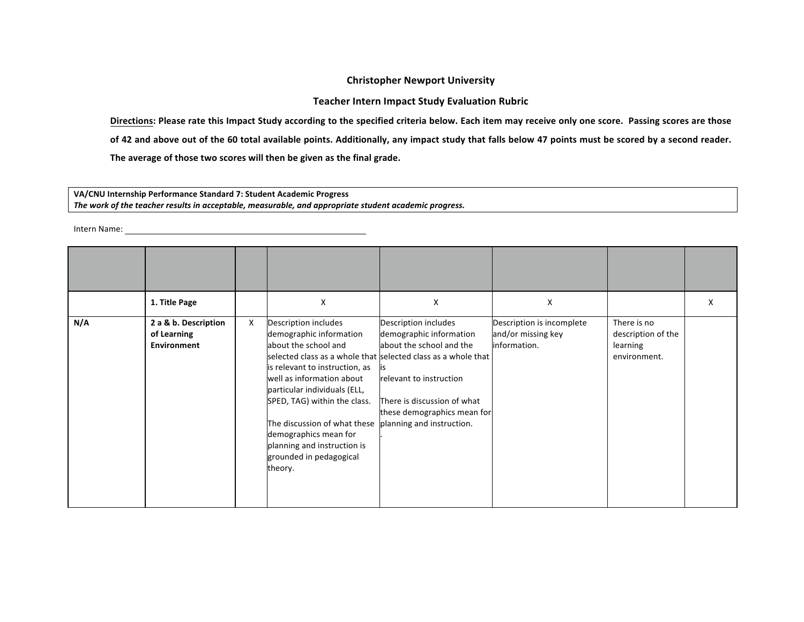## **Christopher Newport University**

**Teacher Intern Impact Study Evaluation Rubric** 

Directions: Please rate this Impact Study according to the specified criteria below. Each item may receive only one score. Passing scores are those

of 42 and above out of the 60 total available points. Additionally, any impact study that falls below 47 points must be scored by a second reader.

The average of those two scores will then be given as the final grade.

## **VA/CNU Internship Performance Standard 7: Student Academic Progress**  The work of the teacher results in acceptable, measurable, and appropriate student academic progress.

Intern Name: The Commission of the Commission of the Commission of the Commission of the Commission of the Commission of the Commission of the Commission of the Commission of the Commission of the Commission of the Commiss

|     | 1. Title Page                                             |   | X                                                                                                                                                                                                                                                                                                                                    | X                                                                                                                                                                                                                                                                  | X                                                               |                                                               | X |
|-----|-----------------------------------------------------------|---|--------------------------------------------------------------------------------------------------------------------------------------------------------------------------------------------------------------------------------------------------------------------------------------------------------------------------------------|--------------------------------------------------------------------------------------------------------------------------------------------------------------------------------------------------------------------------------------------------------------------|-----------------------------------------------------------------|---------------------------------------------------------------|---|
| N/A | 2 a & b. Description<br>of Learning<br><b>Environment</b> | X | Description includes<br>demographic information<br>about the school and<br>is relevant to instruction, as<br>well as information about<br>particular individuals (ELL,<br>SPED, TAG) within the class.<br>The discussion of what these<br>demographics mean for<br>planning and instruction is<br>grounded in pedagogical<br>theory. | Description includes<br>demographic information<br>about the school and the<br>selected class as a whole that selected class as a whole that<br>relevant to instruction<br>There is discussion of what<br>these demographics mean for<br>planning and instruction. | Description is incomplete<br>and/or missing key<br>information. | There is no<br>description of the<br>learning<br>environment. |   |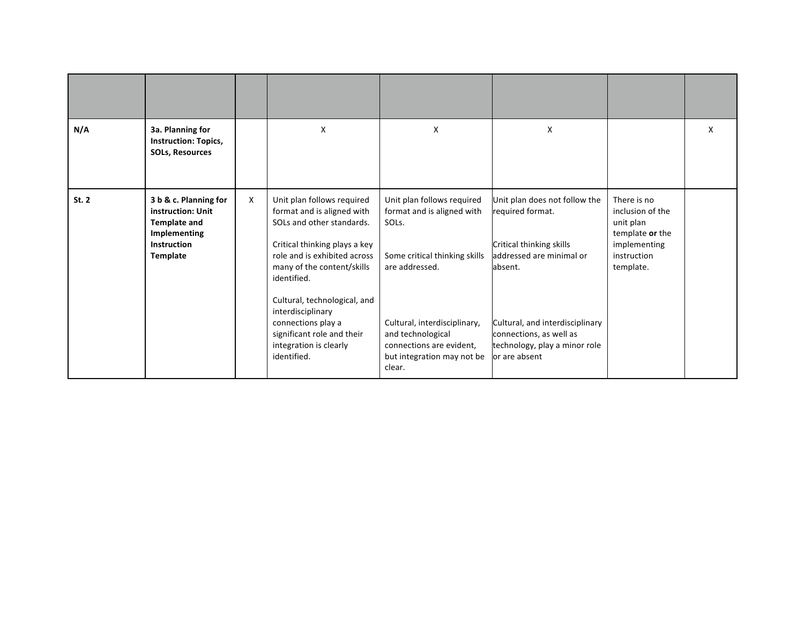| N/A   | 3a. Planning for<br><b>Instruction: Topics,</b><br><b>SOLs, Resources</b>                                                  |              | X                                                                                                                                                                                                                                                                                                                                                     | X                                                                                                                                                                                                                                                | X                                                                                                                                                                                                                                    |                                                                                                             | X |
|-------|----------------------------------------------------------------------------------------------------------------------------|--------------|-------------------------------------------------------------------------------------------------------------------------------------------------------------------------------------------------------------------------------------------------------------------------------------------------------------------------------------------------------|--------------------------------------------------------------------------------------------------------------------------------------------------------------------------------------------------------------------------------------------------|--------------------------------------------------------------------------------------------------------------------------------------------------------------------------------------------------------------------------------------|-------------------------------------------------------------------------------------------------------------|---|
| St. 2 | 3 b & c. Planning for<br>instruction: Unit<br><b>Template and</b><br><b>Implementing</b><br><b>Instruction</b><br>Template | $\mathsf{x}$ | Unit plan follows required<br>format and is aligned with<br>SOLs and other standards.<br>Critical thinking plays a key<br>role and is exhibited across<br>many of the content/skills<br>identified.<br>Cultural, technological, and<br>interdisciplinary<br>connections play a<br>significant role and their<br>integration is clearly<br>identified. | Unit plan follows required<br>format and is aligned with<br>SOL <sub>s</sub> .<br>Some critical thinking skills<br>are addressed.<br>Cultural, interdisciplinary,<br>and technological<br>connections are evident,<br>but integration may not be | Unit plan does not follow the<br>required format.<br>Critical thinking skills<br>addressed are minimal or<br>absent.<br>Cultural, and interdisciplinary<br>connections, as well as<br>technology, play a minor role<br>or are absent | There is no<br>inclusion of the<br>unit plan<br>template or the<br>implementing<br>instruction<br>template. |   |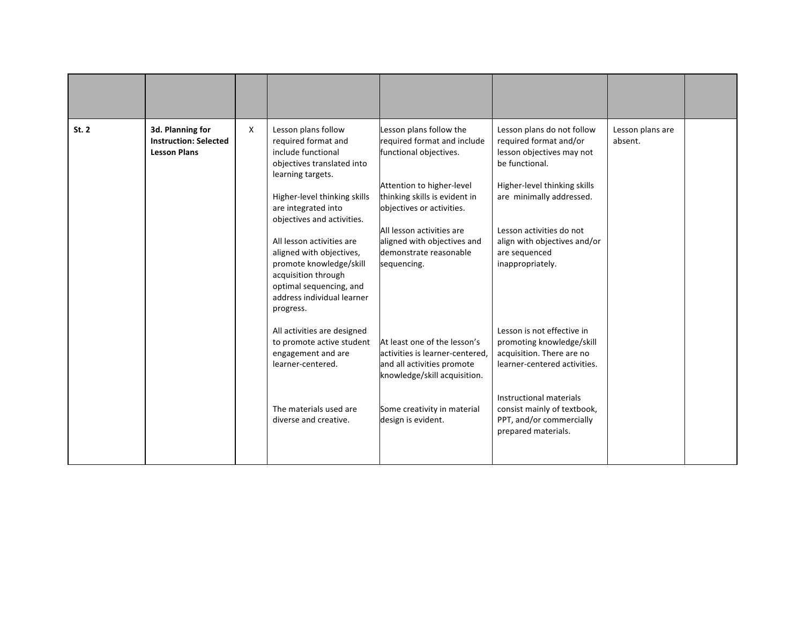| St. 2 | 3d. Planning for<br><b>Instruction: Selected</b><br><b>Lesson Plans</b> | X | Lesson plans follow<br>required format and<br>include functional<br>objectives translated into<br>learning targets.<br>Higher-level thinking skills<br>are integrated into<br>objectives and activities.<br>All lesson activities are<br>aligned with objectives,<br>promote knowledge/skill<br>acquisition through<br>optimal sequencing, and<br>address individual learner<br>progress. | Lesson plans follow the<br>required format and include<br>functional objectives.<br>Attention to higher-level<br>thinking skills is evident in<br>objectives or activities.<br>All lesson activities are<br>aligned with objectives and<br>demonstrate reasonable<br>sequencing. | Lesson plans do not follow<br>required format and/or<br>lesson objectives may not<br>be functional.<br>Higher-level thinking skills<br>are minimally addressed.<br>Lesson activities do not<br>align with objectives and/or<br>are sequenced<br>inappropriately. | Lesson plans are<br>absent. |  |
|-------|-------------------------------------------------------------------------|---|-------------------------------------------------------------------------------------------------------------------------------------------------------------------------------------------------------------------------------------------------------------------------------------------------------------------------------------------------------------------------------------------|----------------------------------------------------------------------------------------------------------------------------------------------------------------------------------------------------------------------------------------------------------------------------------|------------------------------------------------------------------------------------------------------------------------------------------------------------------------------------------------------------------------------------------------------------------|-----------------------------|--|
|       |                                                                         |   | All activities are designed<br>to promote active student<br>engagement and are<br>learner-centered.<br>The materials used are<br>diverse and creative.                                                                                                                                                                                                                                    | At least one of the lesson's<br>activities is learner-centered,<br>and all activities promote<br>knowledge/skill acquisition.<br>Some creativity in material<br>design is evident.                                                                                               | Lesson is not effective in<br>promoting knowledge/skill<br>acquisition. There are no<br>learner-centered activities.<br>Instructional materials<br>consist mainly of textbook,<br>PPT, and/or commercially<br>prepared materials.                                |                             |  |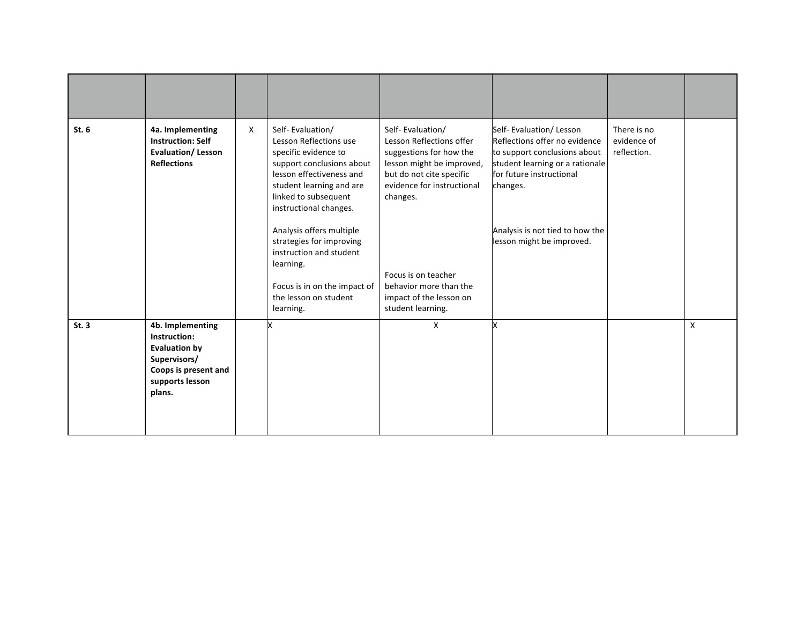| St. 6 | 4a. Implementing<br><b>Instruction: Self</b><br><b>Evaluation/Lesson</b><br><b>Reflections</b>                                | X | Self-Evaluation/<br>Lesson Reflections use<br>specific evidence to<br>support conclusions about<br>lesson effectiveness and<br>student learning and are<br>linked to subsequent<br>instructional changes.<br>Analysis offers multiple<br>strategies for improving<br>instruction and student<br>learning.<br>Focus is in on the impact of<br>the lesson on student<br>learning. | Self-Evaluation/<br>Lesson Reflections offer<br>suggestions for how the<br>lesson might be improved,<br>but do not cite specific<br>evidence for instructional<br>changes.<br>Focus is on teacher<br>behavior more than the<br>impact of the lesson on<br>student learning. | Self- Evaluation/ Lesson<br>Reflections offer no evidence<br>to support conclusions about<br>student learning or a rationale<br>for future instructional<br>changes.<br>Analysis is not tied to how the<br>lesson might be improved. | There is no<br>evidence of<br>reflection. |   |
|-------|-------------------------------------------------------------------------------------------------------------------------------|---|---------------------------------------------------------------------------------------------------------------------------------------------------------------------------------------------------------------------------------------------------------------------------------------------------------------------------------------------------------------------------------|-----------------------------------------------------------------------------------------------------------------------------------------------------------------------------------------------------------------------------------------------------------------------------|--------------------------------------------------------------------------------------------------------------------------------------------------------------------------------------------------------------------------------------|-------------------------------------------|---|
| St.3  | 4b. Implementing<br>Instruction:<br><b>Evaluation by</b><br>Supervisors/<br>Coops is present and<br>supports lesson<br>plans. |   |                                                                                                                                                                                                                                                                                                                                                                                 | X                                                                                                                                                                                                                                                                           |                                                                                                                                                                                                                                      |                                           | X |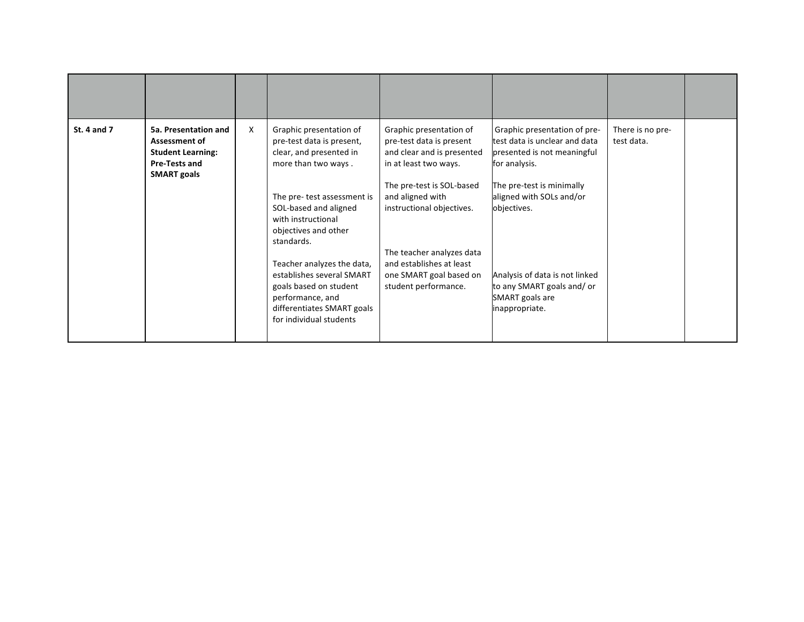| <b>St. 4 and 7</b> | 5a. Presentation and<br><b>Assessment of</b><br><b>Student Learning:</b><br><b>Pre-Tests and</b><br><b>SMART</b> goals | X | Graphic presentation of<br>pre-test data is present,<br>clear, and presented in<br>more than two ways.<br>The pre- test assessment is<br>SOL-based and aligned<br>with instructional<br>objectives and other<br>standards.<br>Teacher analyzes the data,<br>establishes several SMART<br>goals based on student<br>performance, and<br>differentiates SMART goals<br>for individual students | Graphic presentation of<br>pre-test data is present<br>and clear and is presented<br>in at least two ways.<br>The pre-test is SOL-based<br>and aligned with<br>instructional objectives.<br>The teacher analyzes data<br>and establishes at least<br>one SMART goal based on<br>student performance. | Graphic presentation of pre-<br>test data is unclear and data<br>presented is not meaningful<br>for analysis.<br>The pre-test is minimally<br>aligned with SOLs and/or<br>objectives.<br>Analysis of data is not linked<br>to any SMART goals and/ or<br>SMART goals are<br>inappropriate. | There is no pre-<br>test data. |  |
|--------------------|------------------------------------------------------------------------------------------------------------------------|---|----------------------------------------------------------------------------------------------------------------------------------------------------------------------------------------------------------------------------------------------------------------------------------------------------------------------------------------------------------------------------------------------|------------------------------------------------------------------------------------------------------------------------------------------------------------------------------------------------------------------------------------------------------------------------------------------------------|--------------------------------------------------------------------------------------------------------------------------------------------------------------------------------------------------------------------------------------------------------------------------------------------|--------------------------------|--|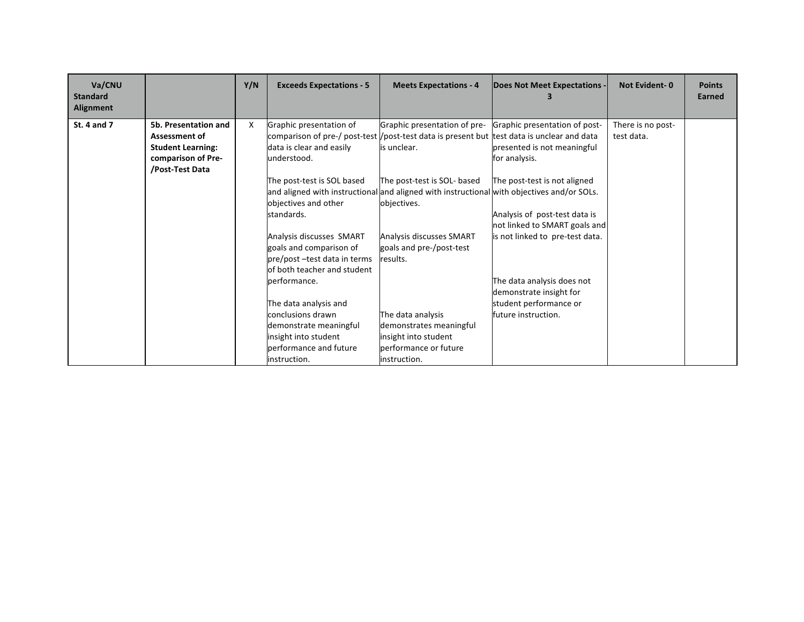| Va/CNU<br><b>Standard</b><br>Alignment |                          | Y/N | <b>Exceeds Expectations - 5</b> | <b>Meets Expectations - 4</b>                                                                  | Does Not Meet Expectations -    | <b>Not Evident-0</b> | <b>Points</b><br>Earned |
|----------------------------------------|--------------------------|-----|---------------------------------|------------------------------------------------------------------------------------------------|---------------------------------|----------------------|-------------------------|
| St. 4 and 7                            | 5b. Presentation and     | X   | Graphic presentation of         | Graphic presentation of pre-                                                                   | Graphic presentation of post-   | There is no post-    |                         |
|                                        | <b>Assessment of</b>     |     |                                 | comparison of pre-/ post-test $ $ /post-test data is present but test data is unclear and data |                                 | test data.           |                         |
|                                        | <b>Student Learning:</b> |     | data is clear and easily        | is unclear.                                                                                    | presented is not meaningful     |                      |                         |
|                                        | comparison of Pre-       |     | understood.                     |                                                                                                | for analysis.                   |                      |                         |
|                                        | /Post-Test Data          |     |                                 |                                                                                                |                                 |                      |                         |
|                                        |                          |     | The post-test is SOL based      | The post-test is SOL- based                                                                    | The post-test is not aligned    |                      |                         |
|                                        |                          |     |                                 | and aligned with instructional and aligned with instructional with objectives and/or SOLs.     |                                 |                      |                         |
|                                        |                          |     | objectives and other            | objectives.                                                                                    |                                 |                      |                         |
|                                        |                          |     | standards.                      |                                                                                                | Analysis of post-test data is   |                      |                         |
|                                        |                          |     |                                 |                                                                                                | not linked to SMART goals and   |                      |                         |
|                                        |                          |     | Analysis discusses SMART        | Analysis discusses SMART                                                                       | is not linked to pre-test data. |                      |                         |
|                                        |                          |     | goals and comparison of         | goals and pre-/post-test                                                                       |                                 |                      |                         |
|                                        |                          |     | pre/post -test data in terms    | results.                                                                                       |                                 |                      |                         |
|                                        |                          |     | of both teacher and student     |                                                                                                |                                 |                      |                         |
|                                        |                          |     | performance.                    |                                                                                                | The data analysis does not      |                      |                         |
|                                        |                          |     |                                 |                                                                                                | demonstrate insight for         |                      |                         |
|                                        |                          |     | The data analysis and           |                                                                                                | student performance or          |                      |                         |
|                                        |                          |     | conclusions drawn               | The data analysis                                                                              | future instruction.             |                      |                         |
|                                        |                          |     | demonstrate meaningful          | demonstrates meaningful                                                                        |                                 |                      |                         |
|                                        |                          |     | insight into student            | insight into student                                                                           |                                 |                      |                         |
|                                        |                          |     | performance and future          | performance or future                                                                          |                                 |                      |                         |
|                                        |                          |     | instruction.                    | instruction.                                                                                   |                                 |                      |                         |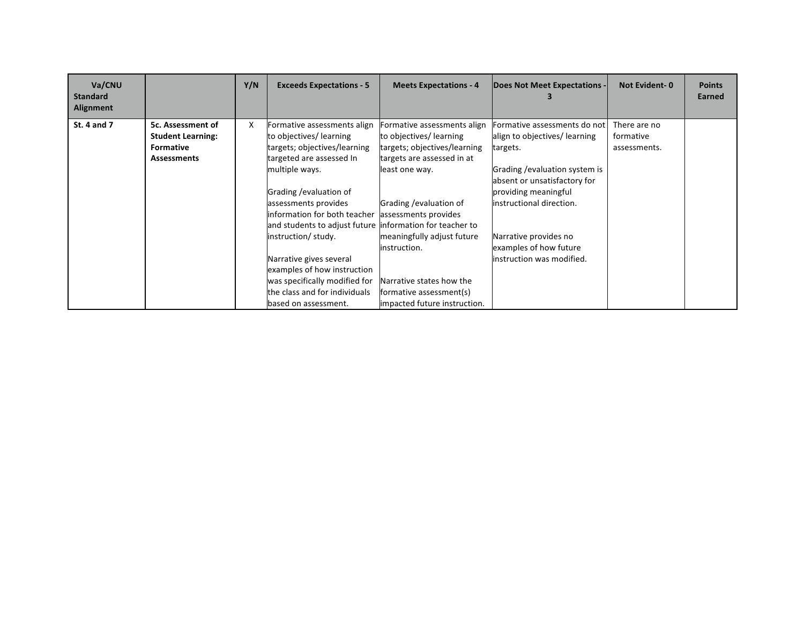| Va/CNU<br><b>Standard</b><br>Alignment |                          | Y/N | <b>Exceeds Expectations - 5</b>                           | <b>Meets Expectations - 4</b> | Does Not Meet Expectations -   | <b>Not Evident-0</b> | <b>Points</b><br>Earned |
|----------------------------------------|--------------------------|-----|-----------------------------------------------------------|-------------------------------|--------------------------------|----------------------|-------------------------|
| St. 4 and 7                            | 5c. Assessment of        | X   | Formative assessments align                               | Formative assessments align   | Formative assessments do not   | There are no         |                         |
|                                        | <b>Student Learning:</b> |     | to objectives/ learning                                   | to objectives/learning        | align to objectives/ learning  | formative            |                         |
|                                        | <b>Formative</b>         |     | targets; objectives/learning                              | targets; objectives/learning  | targets.                       | assessments.         |                         |
|                                        | <b>Assessments</b>       |     | targeted are assessed In                                  | targets are assessed in at    |                                |                      |                         |
|                                        |                          |     | multiple ways.                                            | least one way.                | Grading / evaluation system is |                      |                         |
|                                        |                          |     |                                                           |                               | absent or unsatisfactory for   |                      |                         |
|                                        |                          |     | Grading / evaluation of                                   |                               | providing meaningful           |                      |                         |
|                                        |                          |     | assessments provides                                      | Grading /evaluation of        | instructional direction.       |                      |                         |
|                                        |                          |     | information for both teacher                              | assessments provides          |                                |                      |                         |
|                                        |                          |     | and students to adjust future linformation for teacher to |                               |                                |                      |                         |
|                                        |                          |     | instruction/ study.                                       | meaningfully adjust future    | Narrative provides no          |                      |                         |
|                                        |                          |     |                                                           | instruction.                  | examples of how future         |                      |                         |
|                                        |                          |     | Narrative gives several                                   |                               | instruction was modified.      |                      |                         |
|                                        |                          |     | examples of how instruction                               |                               |                                |                      |                         |
|                                        |                          |     | was specifically modified for                             | Narrative states how the      |                                |                      |                         |
|                                        |                          |     | the class and for individuals                             | formative assessment(s)       |                                |                      |                         |
|                                        |                          |     | based on assessment.                                      | impacted future instruction.  |                                |                      |                         |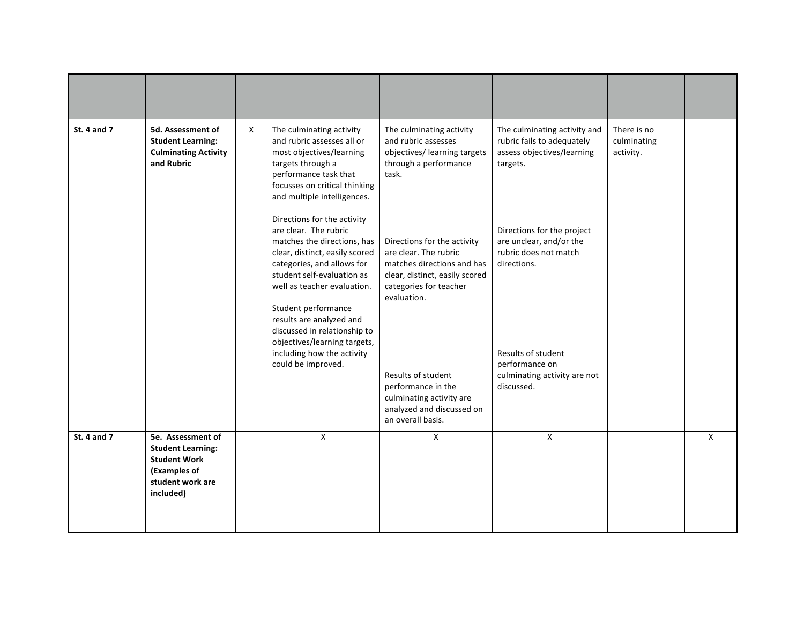| <b>St. 4 and 7</b> | 5d. Assessment of<br><b>Student Learning:</b><br><b>Culminating Activity</b><br>and Rubric                            | X | The culminating activity<br>and rubric assesses all or<br>most objectives/learning<br>targets through a<br>performance task that<br>focusses on critical thinking<br>and multiple intelligences.                 | The culminating activity<br>and rubric assesses<br>objectives/ learning targets<br>through a performance<br>task.                                             | The culminating activity and<br>rubric fails to adequately<br>assess objectives/learning<br>targets. | There is no<br>culminating<br>activity. |              |
|--------------------|-----------------------------------------------------------------------------------------------------------------------|---|------------------------------------------------------------------------------------------------------------------------------------------------------------------------------------------------------------------|---------------------------------------------------------------------------------------------------------------------------------------------------------------|------------------------------------------------------------------------------------------------------|-----------------------------------------|--------------|
|                    |                                                                                                                       |   | Directions for the activity<br>are clear. The rubric<br>matches the directions, has<br>clear, distinct, easily scored<br>categories, and allows for<br>student self-evaluation as<br>well as teacher evaluation. | Directions for the activity<br>are clear. The rubric<br>matches directions and has<br>clear, distinct, easily scored<br>categories for teacher<br>evaluation. | Directions for the project<br>are unclear, and/or the<br>rubric does not match<br>directions.        |                                         |              |
|                    |                                                                                                                       |   | Student performance<br>results are analyzed and<br>discussed in relationship to<br>objectives/learning targets,<br>including how the activity<br>could be improved.                                              | Results of student<br>performance in the<br>culminating activity are<br>analyzed and discussed on<br>an overall basis.                                        | Results of student<br>performance on<br>culminating activity are not<br>discussed.                   |                                         |              |
| <b>St. 4 and 7</b> | 5e. Assessment of<br><b>Student Learning:</b><br><b>Student Work</b><br>(Examples of<br>student work are<br>included) |   | $\mathsf{X}$                                                                                                                                                                                                     | X                                                                                                                                                             | $\mathsf{X}$                                                                                         |                                         | $\mathsf{X}$ |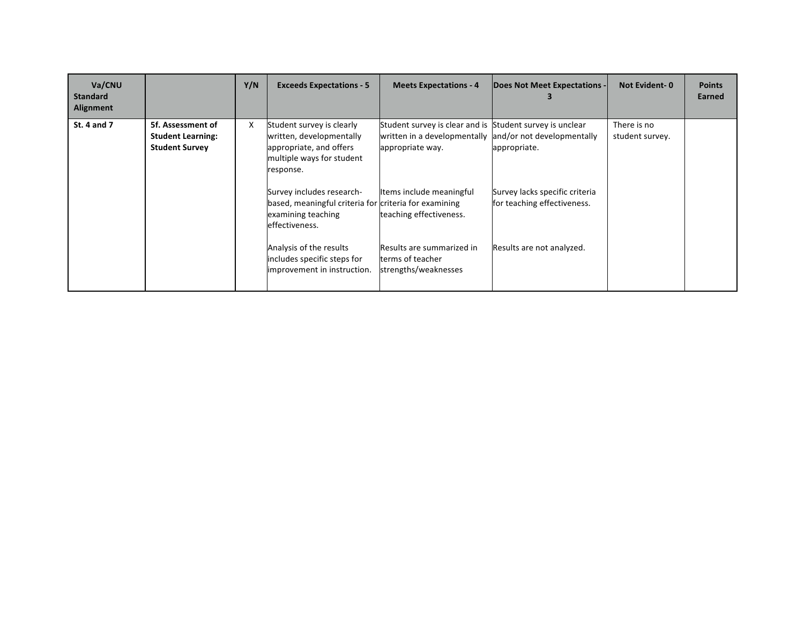| Va/CNU<br><b>Standard</b><br>Alignment |                                                                        | Y/N | <b>Exceeds Expectations - 5</b>                                                                                            | <b>Meets Expectations - 4</b>                                                                                                           | Does Not Meet Expectations -                                  | <b>Not Evident-0</b>           | <b>Points</b><br>Earned |
|----------------------------------------|------------------------------------------------------------------------|-----|----------------------------------------------------------------------------------------------------------------------------|-----------------------------------------------------------------------------------------------------------------------------------------|---------------------------------------------------------------|--------------------------------|-------------------------|
| <b>St. 4 and 7</b>                     | 5f. Assessment of<br><b>Student Learning:</b><br><b>Student Survey</b> | X   | Student survey is clearly<br>written, developmentally<br>appropriate, and offers<br>multiple ways for student<br>response. | Student survey is clear and is Student survey is unclear<br>written in a developmentally and/or not developmentally<br>appropriate way. | appropriate.                                                  | There is no<br>student survey. |                         |
|                                        |                                                                        |     | Survey includes research-<br>based, meaningful criteria for criteria for examining<br>examining teaching<br>effectiveness. | Items include meaningful<br>teaching effectiveness.                                                                                     | Survey lacks specific criteria<br>for teaching effectiveness. |                                |                         |
|                                        |                                                                        |     | Analysis of the results<br>includes specific steps for<br>improvement in instruction.                                      | Results are summarized in<br>terms of teacher<br>strengths/weaknesses                                                                   | Results are not analyzed.                                     |                                |                         |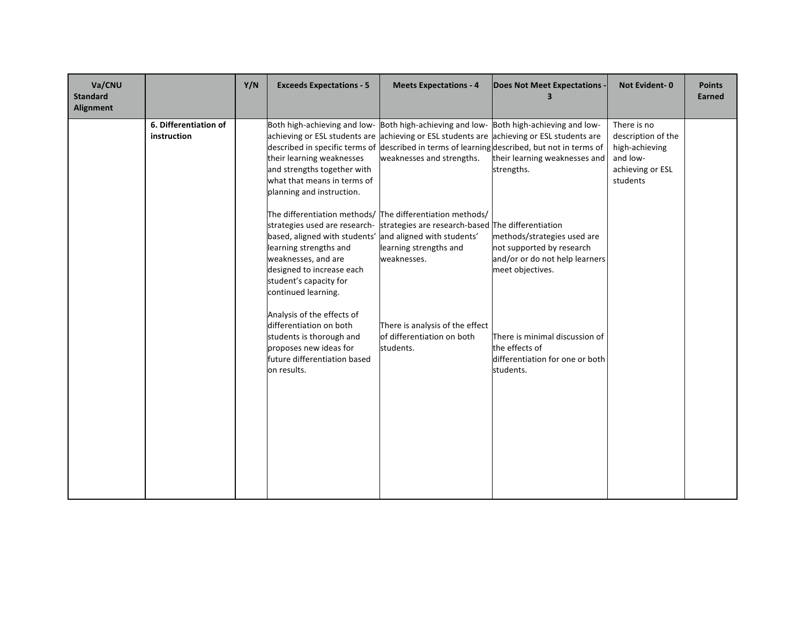| Va/CNU<br><b>Standard</b><br><b>Alignment</b> |                                      | Y/N | <b>Exceeds Expectations - 5</b>                                                                                                                              | <b>Meets Expectations - 4</b>                                                                                                                                                                                                                                                                                    | Does Not Meet Expectations                                                                                     | <b>Not Evident-0</b>                                                                            | <b>Points</b><br><b>Earned</b> |
|-----------------------------------------------|--------------------------------------|-----|--------------------------------------------------------------------------------------------------------------------------------------------------------------|------------------------------------------------------------------------------------------------------------------------------------------------------------------------------------------------------------------------------------------------------------------------------------------------------------------|----------------------------------------------------------------------------------------------------------------|-------------------------------------------------------------------------------------------------|--------------------------------|
|                                               | 6. Differentiation of<br>instruction |     | their learning weaknesses<br>and strengths together with<br>what that means in terms of<br>planning and instruction.                                         | Both high-achieving and low- Both high-achieving and low- Both high-achieving and low-<br>achieving or ESL students are achieving or ESL students are achieving or ESL students are<br>described in specific terms of described in terms of learning described, but not in terms of<br>weaknesses and strengths. | their learning weaknesses and<br>strengths.                                                                    | There is no<br>description of the<br>high-achieving<br>and low-<br>achieving or ESL<br>students |                                |
|                                               |                                      |     | based, aligned with students'<br>learning strengths and<br>weaknesses, and are<br>designed to increase each<br>student's capacity for<br>continued learning. | The differentiation methods/ The differentiation methods/<br>strategies used are research- strategies are research-based The differentiation<br>and aligned with students'<br>learning strengths and<br>weaknesses.                                                                                              | methods/strategies used are<br>not supported by research<br>and/or or do not help learners<br>meet objectives. |                                                                                                 |                                |
|                                               |                                      |     | Analysis of the effects of<br>differentiation on both<br>students is thorough and<br>proposes new ideas for<br>future differentiation based<br>on results.   | There is analysis of the effect<br>of differentiation on both<br>students.                                                                                                                                                                                                                                       | There is minimal discussion of<br>the effects of<br>differentiation for one or both<br>students.               |                                                                                                 |                                |
|                                               |                                      |     |                                                                                                                                                              |                                                                                                                                                                                                                                                                                                                  |                                                                                                                |                                                                                                 |                                |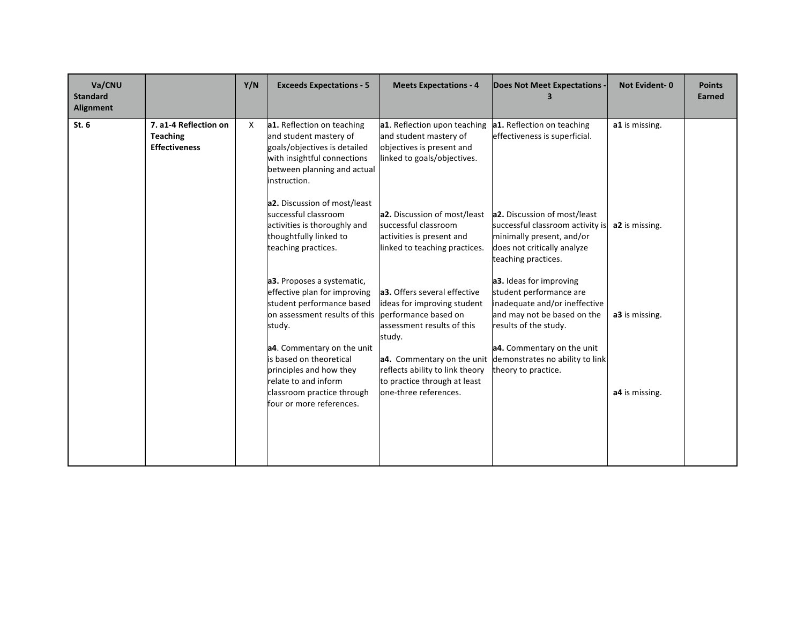| Va/CNU<br><b>Standard</b><br>Alignment |                                                                  | Y/N | <b>Exceeds Expectations - 5</b>                                                                                                                                    | <b>Meets Expectations - 4</b>                                                                                               | <b>Does Not Meet Expectations</b>                                                                                                                   | <b>Not Evident-0</b> | <b>Points</b><br>Earned |
|----------------------------------------|------------------------------------------------------------------|-----|--------------------------------------------------------------------------------------------------------------------------------------------------------------------|-----------------------------------------------------------------------------------------------------------------------------|-----------------------------------------------------------------------------------------------------------------------------------------------------|----------------------|-------------------------|
| St.6                                   | 7. a1-4 Reflection on<br><b>Teaching</b><br><b>Effectiveness</b> | X   | a1. Reflection on teaching<br>and student mastery of<br>goals/objectives is detailed<br>with insightful connections<br>between planning and actual<br>instruction. | a1. Reflection upon teaching<br>and student mastery of<br>objectives is present and<br>linked to goals/objectives.          | a1. Reflection on teaching<br>effectiveness is superficial.                                                                                         | a1 is missing.       |                         |
|                                        |                                                                  |     | a2. Discussion of most/least<br>successful classroom<br>activities is thoroughly and<br>thoughtfully linked to<br>teaching practices.                              | a2. Discussion of most/least<br>successful classroom<br>activities is present and<br>linked to teaching practices.          | a2. Discussion of most/least<br>successful classroom activity is<br>minimally present, and/or<br>does not critically analyze<br>teaching practices. | a2 is missing.       |                         |
|                                        |                                                                  |     | a3. Proposes a systematic,<br>effective plan for improving<br>student performance based<br>on assessment results of this<br>study.                                 | a3. Offers several effective<br>ideas for improving student<br>performance based on<br>assessment results of this<br>study. | a3. Ideas for improving<br>student performance are<br>inadequate and/or ineffective<br>and may not be based on the<br>results of the study.         | a3 is missing.       |                         |
|                                        |                                                                  |     | a4. Commentary on the unit<br>is based on theoretical<br>principles and how they<br>relate to and inform<br>classroom practice through<br>four or more references. | reflects ability to link theory<br>to practice through at least<br>one-three references.                                    | a4. Commentary on the unit<br>a4. Commentary on the unit demonstrates no ability to link<br>theory to practice.                                     | a4 is missing.       |                         |
|                                        |                                                                  |     |                                                                                                                                                                    |                                                                                                                             |                                                                                                                                                     |                      |                         |